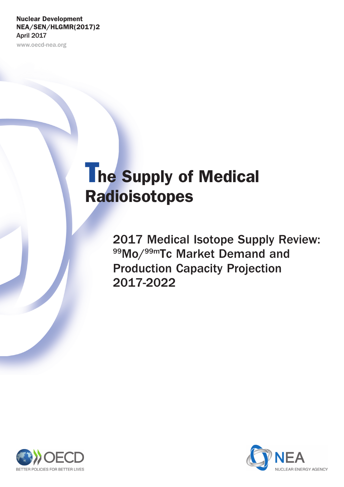# Nuclear Development NEA/SEN/HLGMR(2017)2 April 2017

www.oecd-nea.org

# The Supply of Medical Radioisotopes

2017 Medical Isotope Supply Review: 99Mo/99mTc Market Demand and Production Capacity Projection 2017-2022



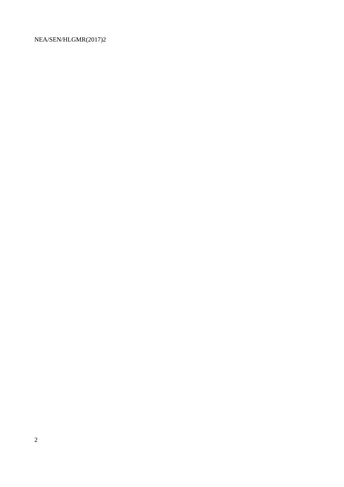#### NEA/SEN/HLGMR(2017)2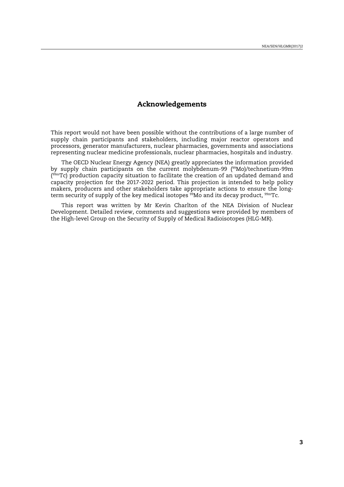#### Acknowledgements

This report would not have been possible without the contributions of a large number of supply chain participants and stakeholders, including major reactor operators and processors, generator manufacturers, nuclear pharmacies, governments and associations representing nuclear medicine professionals, nuclear pharmacies, hospitals and industry.

The OECD Nuclear Energy Agency (NEA) greatly appreciates the information provided by supply chain participants on the current molybdenum-99 (<sup>99</sup>Mo)/technetium-99m ( $\rm{^{99m}Tc)}$  production capacity situation to facilitate the creation of an updated demand and capacity projection for the 2017-2022 period. This projection is intended to help policy makers, producers and other stakeholders take appropriate actions to ensure the longterm security of supply of the key medical isotopes <sup>99</sup>Mo and its decay product, <sup>99m</sup>Tc.

This report was written by Mr Kevin Charlton of the NEA Division of Nuclear Development. Detailed review, comments and suggestions were provided by members of the High-level Group on the Security of Supply of Medical Radioisotopes (HLG-MR).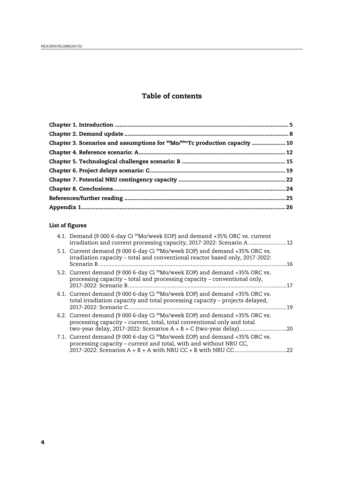# Table of contents

| Chapter 3. Scenarios and assumptions for <sup>99</sup> Mo/ <sup>99m</sup> Tc production capacity  10 |  |
|------------------------------------------------------------------------------------------------------|--|
|                                                                                                      |  |
|                                                                                                      |  |
|                                                                                                      |  |
|                                                                                                      |  |
|                                                                                                      |  |
|                                                                                                      |  |
|                                                                                                      |  |

# List of figures

| 4.1. Demand (9 000 6-day Ci <sup>99</sup> Mo/week EOP) and demand +35% ORC vs. current<br>irradiation and current processing capacity, 2017-2022: Scenario A                                                                           | -12 |
|----------------------------------------------------------------------------------------------------------------------------------------------------------------------------------------------------------------------------------------|-----|
| 5.1. Current demand (9 000 6-day Ci <sup>99</sup> Mo/week EOP) and demand +35% ORC vs.<br>irradiation capacity - total and conventional reactor based only, 2017-2022:                                                                 | 16  |
| 5.2. Current demand (9 000 6-day Ci <sup>99</sup> Mo/week EOP) and demand +35% ORC vs.<br>processing capacity - total and processing capacity - conventional only,<br>2017-2022: Scenario B                                            |     |
| 6.1. Current demand (9 000 6-day Ci <sup>99</sup> Mo/week EOP) and demand +35% ORC vs.<br>total irradiation capacity and total processing capacity - projects delayed,<br>2017-2022: Scenario C                                        | 10  |
| 6.2. Current demand (9 000 6-day Ci <sup>99</sup> Mo/week EOP) and demand +35% ORC vs.<br>processing capacity - current, total, total conventional only and total<br>two-year delay, 2017-2022: Scenarios $A + B + C$ (two-year delay) | .20 |
| 7.1. Current demand (9 000 6-day Ci <sup>99</sup> Mo/week EOP) and demand +35% ORC vs.<br>processing capacity - current and total, with and without NRU CC,<br>2017-2022: Scenarios $A + B + A$ with NRU CC + B with NRU CC            |     |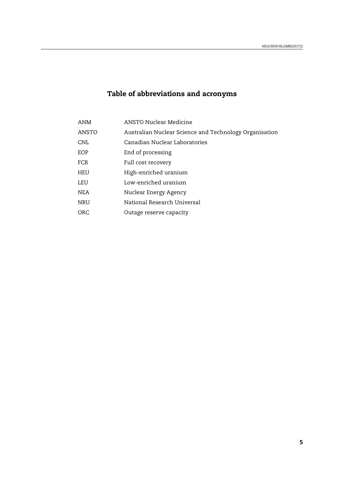# Table of abbreviations and acronyms

<span id="page-4-0"></span>

| ANM        | ANSTO Nuclear Medicine                                 |
|------------|--------------------------------------------------------|
| ANSTO      | Australian Nuclear Science and Technology Organisation |
| CNL        | Canadian Nuclear Laboratories                          |
| EOP        | End of processing                                      |
| <b>FCR</b> | Full cost recovery                                     |
| HEU        | High-enriched uranium                                  |
| LEU        | Low-enriched uranium                                   |
| <b>NEA</b> | Nuclear Energy Agency                                  |
| <b>NRU</b> | National Research Universal                            |
| ORC        | Outage reserve capacity                                |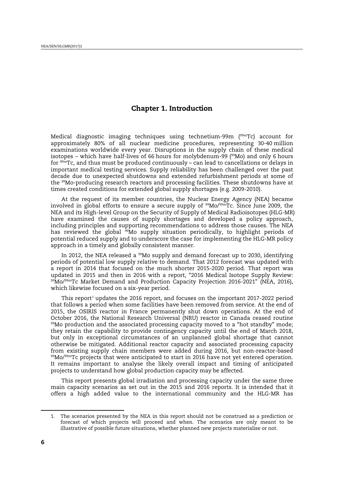#### Chapter 1. Introduction

Medical diagnostic imaging techniques using technetium-99m (<sup>99m</sup>Tc) account for approximately 80% of all nuclear medicine procedures, representing 30-40 million examinations worldwide every year. Disruptions in the supply chain of these medical isotopes – which have half-lives of 66 hours for molybdenum-99 ( $99$ Mo) and only 6 hours for  $99mTc$ , and thus must be produced continuously – can lead to cancellations or delays in important medical testing services. Supply reliability has been challenged over the past decade due to unexpected shutdowns and extended refurbishment periods at some of the 99Mo-producing research reactors and processing facilities. These shutdowns have at times created conditions for extended global supply shortages (e.g. 2009-2010).

At the request of its member countries, the Nuclear Energy Agency (NEA) became involved in global efforts to ensure a secure supply of 99Mo/99mTc. Since June 2009, the NEA and its High-level Group on the Security of Supply of Medical Radioisotopes (HLG-MR) have examined the causes of supply shortages and developed a policy approach, including principles and supporting recommendations to address those causes. The NEA has reviewed the global <sup>99</sup>Mo supply situation periodically, to highlight periods of potential reduced supply and to underscore the case for implementing the HLG-MR policy approach in a timely and globally consistent manner.

In 2012, the NEA released a  $99$ Mo supply and demand forecast up to 2030, identifying periods of potential low supply relative to demand. That 2012 forecast was updated with a report in 2014 that focused on the much shorter 2015-2020 period. That report was updated in 2015 and then in 2016 with a report, "2016 Medical Isotope Supply Review:  $99^{\circ}$ Mo/ $99^{\circ}$ Tc Market Demand and Production Capacity Projection 2016-2021" (NEA, 2016), which likewise focused on a six-year period.

This report<sup>[1](#page-5-0)</sup> updates the 2016 report, and focuses on the important 2017-2022 period that follows a period when some facilities have been removed from service. At the end of 2015, the OSIRIS reactor in France permanently shut down operations. At the end of October 2016, the National Research Universal (NRU) reactor in Canada ceased routine <sup>99</sup>Mo production and the associated processing capacity moved to a "hot standby" mode; they retain the capability to provide contingency capacity until the end of March 2018, but only in exceptional circumstances of an unplanned global shortage that cannot otherwise be mitigated. Additional reactor capacity and associated processing capacity  $599Mo/99mTc$  projects that were anticipated to start in 2016 have not yet entered operation. It remains important to analyse the likely overall impact and timing of anticipated projects to understand how global production capacity may be affected.

This report presents global irradiation and processing capacity under the same three main capacity scenarios as set out in the 2015 and 2016 reports. It is intended that it offers a high added value to the international community and the HLG-MR has

<span id="page-5-0"></span> $\overline{a}$ 

<sup>1.</sup> The scenarios presented by the NEA in this report should not be construed as a prediction or forecast of which projects will proceed and when. The scenarios are only meant to be illustrative of possible future situations, whether planned new projects materialise or not.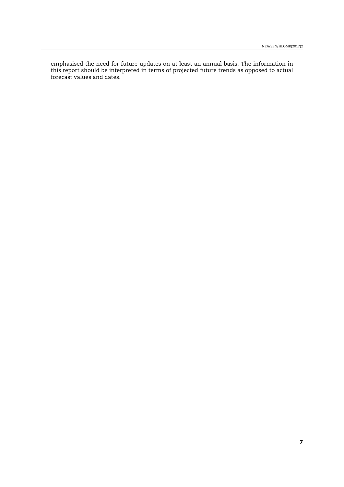emphasised the need for future updates on at least an annual basis. The information in this report should be interpreted in terms of projected future trends as opposed to actual forecast values and dates.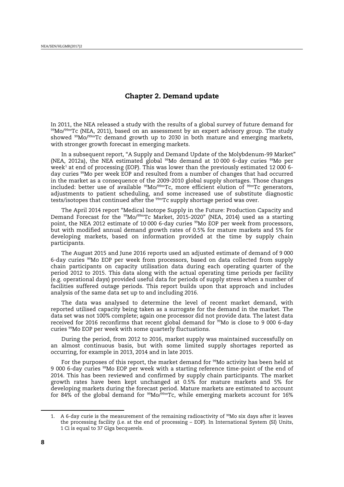#### Chapter 2. Demand update

<span id="page-7-0"></span>In 2011, the NEA released a study with the results of a global survey of future demand for  $\frac{99}{90}$ Mo/ $\frac{99}{20}$ Tc (NEA, 2011), based on an assessment by an expert advisory group. The study showed  $99M\text{O}/99mTc$  demand growth up to 2030 in both mature and emerging markets, with stronger growth forecast in emerging markets.

In a subsequent report, "A Supply and Demand Update of the Molybdenum-99 Market" (NEA, 2012a), the NEA estimated global  $^{99}$ Mo demand at 10 000 6-day curies  $^{99}$ Mo per week<sup>[1](#page-7-1)</sup> at end of processing (EOP). This was lower than the previously estimated 12 000 6day curies 99Mo per week EOP and resulted from a number of changes that had occurred in the market as a consequence of the 2009-2010 global supply shortages. Those changes included: better use of available  $^{99}$ Mo/ $^{99m}$ Tc, more efficient elution of  $^{99m}$ Tc generators, adjustments to patient scheduling, and some increased use of substitute diagnostic tests/isotopes that continued after the 99mTc supply shortage period was over.

The April 2014 report "Medical Isotope Supply in the Future: Production Capacity and Demand Forecast for the <sup>99</sup>Mo/<sup>99m</sup>Tc Market, 2015-2020" (NEA, 2014) used as a starting point, the NEA 2012 estimate of 10 000 6-day curies <sup>99</sup>Mo EOP per week from processors, but with modified annual demand growth rates of 0.5% for mature markets and 5% for developing markets, based on information provided at the time by supply chain participants.

The August 2015 and June 2016 reports used an adjusted estimate of demand of 9 000 6-day curies 99Mo EOP per week from processors, based on data collected from supply chain participants on capacity utilisation data during each operating quarter of the period 2012 to 2015. This data along with the actual operating time periods per facility (e.g. operational days) provided useful data for periods of supply stress when a number of facilities suffered outage periods. This report builds upon that approach and includes analysis of the same data set up to and including 2016.

The data was analysed to determine the level of recent market demand, with reported utilised capacity being taken as a surrogate for the demand in the market. The data set was not 100% complete; again one processor did not provide data. The latest data received for 2016 reconfirms that recent global demand for  $99M$ o is close to 9 000 6-day curies 99Mo EOP per week with some quarterly fluctuations.

During the period, from 2012 to 2016, market supply was maintained successfully on an almost continuous basis, but with some limited supply shortages reported as occurring, for example in 2013, 2014 and in late 2015.

For the purposes of this report, the market demand for <sup>99</sup>Mo activity has been held at 9 000 6-day curies 99Mo EOP per week with a starting reference time-point of the end of 2014. This has been reviewed and confirmed by supply chain participants. The market growth rates have been kept unchanged at 0.5% for mature markets and 5% for developing markets during the forecast period. Mature markets are estimated to account for 84% of the global demand for  $99\text{Mo}/99m$ Tc, while emerging markets account for 16%

<span id="page-7-1"></span> $\overline{a}$ 

<sup>1.</sup> A 6-day curie is the measurement of the remaining radioactivity of  $\frac{99}{100}$  six days after it leaves the processing facility (i.e. at the end of processing – EOP). In International System (SI) Units, 1 Ci is equal to 37 Giga becquerels.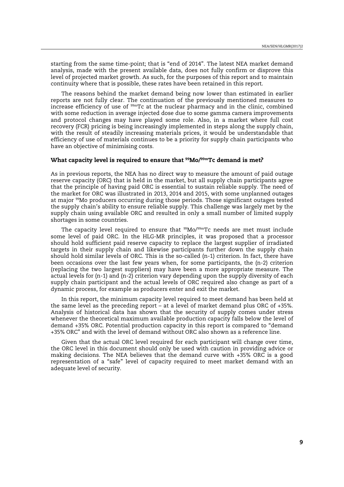starting from the same time-point; that is "end of 2014". The latest NEA market demand analysis, made with the present available data, does not fully confirm or disprove this level of projected market growth. As such, for the purposes of this report and to maintain continuity where that is possible, these rates have been retained in this report.

The reasons behind the market demand being now lower than estimated in earlier reports are not fully clear. The continuation of the previously mentioned measures to increase efficiency of use of <sup>99m</sup>Tc at the nuclear pharmacy and in the clinic, combined with some reduction in average injected dose due to some gamma camera improvements and protocol changes may have played some role. Also, in a market where full cost recovery (FCR) pricing is being increasingly implemented in steps along the supply chain, with the result of steadily increasing materials prices, it would be understandable that efficiency of use of materials continues to be a priority for supply chain participants who have an objective of minimising costs.

#### What capacity level is required to ensure that <sup>99</sup>Mo/<sup>99m</sup>Tc demand is met?

As in previous reports, the NEA has no direct way to measure the amount of paid outage reserve capacity (ORC) that is held in the market, but all supply chain participants agree that the principle of having paid ORC is essential to sustain reliable supply. The need of the market for ORC was illustrated in 2013, 2014 and 2015, with some unplanned outages at major <sup>99</sup>Mo producers occurring during those periods. Those significant outages tested the supply chain's ability to ensure reliable supply. This challenge was largely met by the supply chain using available ORC and resulted in only a small number of limited supply shortages in some countries.

The capacity level required to ensure that  $99M<sub>2</sub>/99mTc$  needs are met must include some level of paid ORC. In the HLG-MR principles, it was proposed that a processor should hold sufficient paid reserve capacity to replace the largest supplier of irradiated targets in their supply chain and likewise participants further down the supply chain should hold similar levels of ORC. This is the so-called (n-1) criterion. In fact, there have been occasions over the last few years when, for some participants, the (n-2) criterion (replacing the two largest suppliers) may have been a more appropriate measure. The actual levels for (n-1) and (n-2) criterion vary depending upon the supply diversity of each supply chain participant and the actual levels of ORC required also change as part of a dynamic process, for example as producers enter and exit the market.

In this report, the minimum capacity level required to meet demand has been held at the same level as the preceding report – at a level of market demand plus ORC of +35%. Analysis of historical data has shown that the security of supply comes under stress whenever the theoretical maximum available production capacity falls below the level of demand +35% ORC. Potential production capacity in this report is compared to "demand +35% ORC" and with the level of demand without ORC also shown as a reference line.

Given that the actual ORC level required for each participant will change over time, the ORC level in this document should only be used with caution in providing advice or making decisions. The NEA believes that the demand curve with +35% ORC is a good representation of a "safe" level of capacity required to meet market demand with an adequate level of security.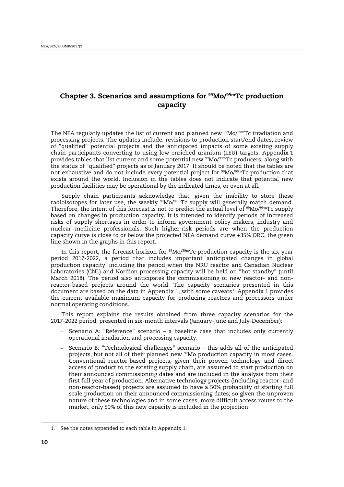## <span id="page-9-0"></span>Chapter 3. Scenarios and assumptions for  $99$ Mo/ $99$ mTc production capacity

The NEA regularly updates the list of current and planned new <sup>99</sup>Mo/<sup>99m</sup>Tc irradiation and processing projects. The updates include: revisions to production start/end dates, review of "qualified" potential projects and the anticipated impacts of some existing supply chain participants converting to using low-enriched uranium (LEU) targets. Appendix 1 provides tables that list current and some potential new <sup>99</sup>Mo/<sup>99m</sup>Tc producers, along with the status of "qualified" projects as of January 2017. It should be noted that the tables are not exhaustive and do not include every potential project for 99Mo/99mTc production that exists around the world. Inclusion in the tables does not indicate that potential new production facilities may be operational by the indicated times, or even at all.

Supply chain participants acknowledge that, given the inability to store these radioisotopes for later use, the weekly <sup>99</sup>Mo/<sup>99m</sup>Tc supply will generally match demand. Therefore, the intent of this forecast is not to predict the actual level of <sup>99</sup>Mo/<sup>99m</sup>Tc supply based on changes in production capacity. It is intended to identify periods of increased risks of supply shortages in order to inform government policy makers, industry and nuclear medicine professionals. Such higher-risk periods are when the production capacity curve is close to or below the projected NEA demand curve +35% ORC, the green line shown in the graphs in this report.

In this report, the forecast horizon for  $99M_0/99mTc$  production capacity is the six-year period 2017-2022, a period that includes important anticipated changes in global production capacity, including the period when the NRU reactor and Canadian Nuclear Laboratories (CNL) and Nordion processing capacity will be held on "hot standby" (until March 2018). The period also anticipates the commissioning of new reactor- and nonreactor-based projects around the world. The capacity scenarios presented in this document are based on the data in Appendix [1](#page-9-1), with some caveats<sup>1</sup>. Appendix 1 provides the current available maximum capacity for producing reactors and processors under normal operating conditions.

This report explains the results obtained from three capacity scenarios for the 2017-2022 period, presented in six-month intervals (January-June and July-December):

- Scenario A: "Reference" scenario a baseline case that includes only currently operational irradiation and processing capacity.
- Scenario B: "Technological challenges" scenario this adds all of the anticipated projects, but not all of their planned new <sup>99</sup>Mo production capacity in most cases. Conventional reactor-based projects, given their proven technology and direct access of product to the existing supply chain, are assumed to start production on their announced commissioning dates and are included in the analysis from their first full year of production. Alternative technology projects (including reactor- and non-reactor-based) projects are assumed to have a 50% probability of starting full scale production on their announced commissioning dates; so given the unproven nature of these technologies and in some cases, more difficult access routes to the market, only 50% of this new capacity is included in the projection.

<span id="page-9-1"></span>**.** 

<sup>1.</sup> See the notes appended to each table in Appendix 1.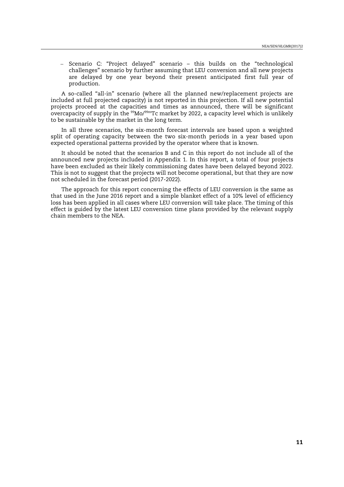– Scenario C: "Project delayed" scenario – this builds on the "technological challenges" scenario by further assuming that LEU conversion and all new projects are delayed by one year beyond their present anticipated first full year of production.

A so-called "all-in" scenario (where all the planned new/replacement projects are included at full projected capacity) is not reported in this projection. If all new potential projects proceed at the capacities and times as announced, there will be significant overcapacity of supply in the 99Mo/99mTc market by 2022, a capacity level which is unlikely to be sustainable by the market in the long term.

In all three scenarios, the six-month forecast intervals are based upon a weighted split of operating capacity between the two six-month periods in a year based upon expected operational patterns provided by the operator where that is known.

It should be noted that the scenarios B and C in this report do not include all of the announced new projects included in Appendix 1. In this report, a total of four projects have been excluded as their likely commissioning dates have been delayed beyond 2022. This is not to suggest that the projects will not become operational, but that they are now not scheduled in the forecast period (2017-2022).

The approach for this report concerning the effects of LEU conversion is the same as that used in the June 2016 report and a simple blanket effect of a 10% level of efficiency loss has been applied in all cases where LEU conversion will take place. The timing of this effect is guided by the latest LEU conversion time plans provided by the relevant supply chain members to the NEA.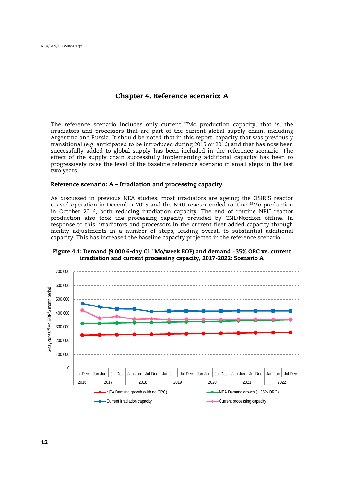#### Chapter 4. Reference scenario: A

<span id="page-11-0"></span>The reference scenario includes only current  $99$ Mo production capacity; that is, the irradiators and processors that are part of the current global supply chain, including Argentina and Russia. It should be noted that in this report, capacity that was previously transitional (e.g. anticipated to be introduced during 2015 or 2016) and that has now been successfully added to global supply has been included in the reference scenario. The effect of the supply chain successfully implementing additional capacity has been to progressively raise the level of the baseline reference scenario in small steps in the last two years.

#### Reference scenario: A – Irradiation and processing capacity

As discussed in previous NEA studies, most irradiators are ageing; the OSIRIS reactor ceased operation in December 2015 and the NRU reactor ended routine <sup>99</sup>Mo production in October 2016, both reducing irradiation capacity. The end of routine NRU reactor production also took the processing capacity provided by CNL/Nordion offline. In response to this, irradiators and processors in the current fleet added capacity through facility adjustments in a number of steps, leading overall to substantial additional capacity. This has increased the baseline capacity projected in the reference scenario.



#### <span id="page-11-1"></span>Figure 4.1: Demand (9 000 6-day Ci 99Mo/week EOP) and demand +35% ORC vs. current irradiation and current processing capacity, 2017-2022: Scenario A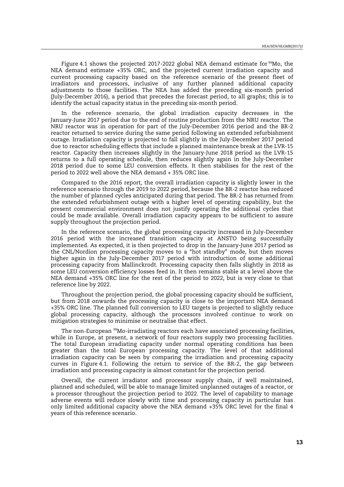Figure 4.1 shows the projected 2017-2022 global NEA demand estimate for <sup>99</sup>Mo, the NEA demand estimate +35% ORC, and the projected current irradiation capacity and current processing capacity based on the reference scenario of the present fleet of irradiators and processors, inclusive of any further planned additional capacity adjustments to those facilities. The NEA has added the preceding six-month period (July-December 2016), a period that precedes the forecast period, to all graphs; this is to identify the actual capacity status in the preceding six-month period.

In the reference scenario, the global irradiation capacity decreases in the January-June 2017 period due to the end of routine production from the NRU reactor. The NRU reactor was in operation for part of the July-December 2016 period and the BR-2 reactor returned to service during the same period following an extended refurbishment outage. Irradiation capacity is projected to fall slightly in the July-December 2017 period due to reactor scheduling effects that include a planned maintenance break at the LVR-15 reactor. Capacity then increases slightly in the January-June 2018 period as the LVR-15 returns to a full operating schedule, then reduces slightly again in the July-December 2018 period due to some LEU conversion effects. It then stabilises for the rest of the period to 2022 well above the NEA demand + 35% ORC line.

Compared to the 2016 report, the overall irradiation capacity is slightly lower in the reference scenario through the 2019 to 2022 period, because the BR-2 reactor has reduced the number of planned cycles anticipated during that period. The BR-2 has returned from the extended refurbishment outage with a higher level of operating capability, but the present commercial environment does not justify operating the additional cycles that could be made available. Overall irradiation capacity appears to be sufficient to assure supply throughout the projection period.

In the reference scenario, the global processing capacity increased in July-December 2016 period with the increased transition capacity at ANSTO being successfully implemented. As expected, it is then projected to drop in the January-June 2017 period as the CNL/Nordion processing capacity moves to a "hot standby" mode, but then moves higher again in the July-December 2017 period with introduction of some additional processing capacity from Mallinckrodt. Processing capacity then falls slightly in 2018 as some LEU conversion efficiency losses feed in. It then remains stable at a level above the NEA demand +35% ORC line for the rest of the period to 2022, but is very close to that reference line by 2022.

Throughout the projection period, the global processing capacity should be sufficient, but from 2018 onwards the processing capacity is close to the important NEA demand +35% ORC line. The planned full conversion to LEU targets is projected to slightly reduce global processing capacity, although the processors involved continue to work on mitigation strategies to minimise or neutralise that effect.

The non-European <sup>99</sup>Mo-irradiating reactors each have associated processing facilities, while in Europe, at present, a network of four reactors supply two processing facilities. The total European irradiating capacity under normal operating conditions has been greater than the total European processing capacity. The level of that additional irradiation capacity can be seen by comparing the irradiation and processing capacity curves in Figure 4.1. Following the return to service of the BR-2, the gap between irradiation and processing capacity is almost constant for the projection period.

Overall, the current irradiator and processor supply chain, if well maintained, planned and scheduled, will be able to manage limited unplanned outages of a reactor, or a processor throughout the projection period to 2022. The level of capability to manage adverse events will reduce slowly with time and processing capacity in particular has only limited additional capacity above the NEA demand +35% ORC level for the final 4 years of this reference scenario.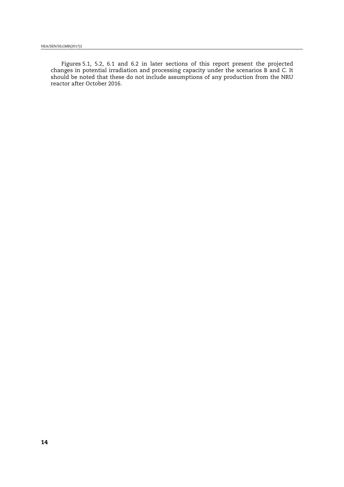Figures 5.1, 5.2, 6.1 and 6.2 in later sections of this report present the projected changes in potential irradiation and processing capacity under the scenarios B and C. It should be noted that these do not include assumptions of any production from the NRU reactor after October 2016.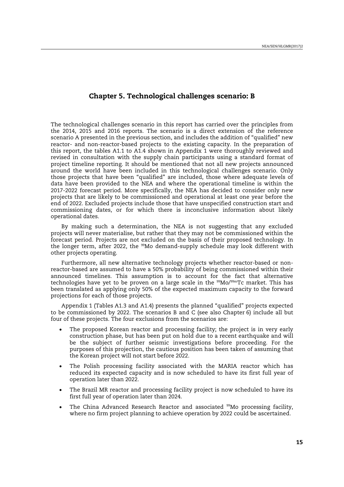#### <span id="page-14-0"></span>Chapter 5. Technological challenges scenario: B

The technological challenges scenario in this report has carried over the principles from the 2014, 2015 and 2016 reports. The scenario is a direct extension of the reference scenario A presented in the previous section, and includes the addition of "qualified" new reactor- and non-reactor-based projects to the existing capacity. In the preparation of this report, the tables A1.1 to A1.4 shown in Appendix 1 were thoroughly reviewed and revised in consultation with the supply chain participants using a standard format of project timeline reporting. It should be mentioned that not all new projects announced around the world have been included in this technological challenges scenario. Only those projects that have been "qualified" are included, those where adequate levels of data have been provided to the NEA and where the operational timeline is within the 2017-2022 forecast period. More specifically, the NEA has decided to consider only new projects that are likely to be commissioned and operational at least one year before the end of 2022. Excluded projects include those that have unspecified construction start and commissioning dates, or for which there is inconclusive information about likely operational dates.

By making such a determination, the NEA is not suggesting that any excluded projects will never materialise, but rather that they may not be commissioned within the forecast period. Projects are not excluded on the basis of their proposed technology. In the longer term, after 2022, the <sup>99</sup>Mo demand-supply schedule may look different with other projects operating.

Furthermore, all new alternative technology projects whether reactor-based or nonreactor-based are assumed to have a 50% probability of being commissioned within their announced timelines. This assumption is to account for the fact that alternative technologies have yet to be proven on a large scale in the  $99$ Mo/ $99$ mTc market. This has been translated as applying only 50% of the expected maximum capacity to the forward projections for each of those projects.

Appendix 1 (Tables A1.3 and A1.4) presents the planned "qualified" projects expected to be commissioned by 2022. The scenarios B and C (see also Chapter 6) include all but four of these projects. The four exclusions from the scenarios are:

- The proposed Korean reactor and processing facility; the project is in very early construction phase, but has been put on hold due to a recent earthquake and will be the subject of further seismic investigations before proceeding. For the purposes of this projection, the cautious position has been taken of assuming that the Korean project will not start before 2022.
- The Polish processing facility associated with the MARIA reactor which has reduced its expected capacity and is now scheduled to have its first full year of operation later than 2022.
- The Brazil MR reactor and processing facility project is now scheduled to have its first full year of operation later than 2024.
- The China Advanced Research Reactor and associated  $99$ Mo processing facility, where no firm project planning to achieve operation by 2022 could be ascertained.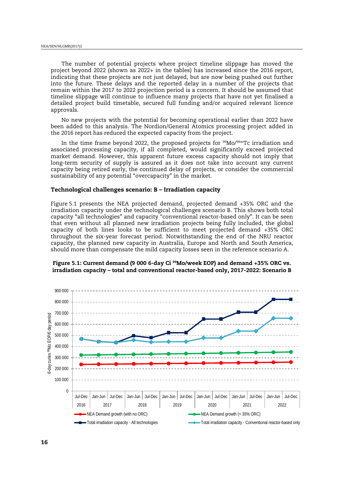The number of potential projects where project timeline slippage has moved the project beyond 2022 (shown as 2022+ in the tables) has increased since the 2016 report, indicating that these projects are not just delayed, but are now being pushed out further into the future. These delays and the reported delay in a number of the projects that remain within the 2017 to 2022 projection period is a concern. It should be assumed that timeline slippage will continue to influence many projects that have not yet finalised a detailed project build timetable, secured full funding and/or acquired relevant licence approvals.

No new projects with the potential for becoming operational earlier than 2022 have been added to this analysis. The Nordion/General Atomics processing project added in the 2016 report has reduced the expected capacity from the project.

In the time frame beyond 2022, the proposed projects for <sup>99</sup>Mo/<sup>99m</sup>Tc irradiation and associated processing capacity, if all completed, would significantly exceed projected market demand. However, this apparent future excess capacity should not imply that long-term security of supply is assured as it does not take into account any current capacity being retired early, the continued delay of projects, or consider the commercial sustainability of any potential "overcapacity" in the market.

#### Technological challenges scenario: B – Irradiation capacity

Figure 5.1 presents the NEA projected demand, projected demand +35% ORC and the irradiation capacity under the technological challenges scenario B. This shows both total capacity "all technologies" and capacity "conventional reactor-based only". It can be seen that even without all planned new irradiation projects being fully included, the global capacity of both lines looks to be sufficient to meet projected demand +35% ORC throughout the six-year forecast period. Notwithstanding the end of the NRU reactor capacity, the planned new capacity in Australia, Europe and North and South America, should more than compensate the mild capacity losses seen in the reference scenario A.

#### <span id="page-15-0"></span>Figure 5.1: Current demand (9 000 6-day Ci 99Mo/week EOP) and demand +35% ORC vs. irradiation capacity – total and conventional reactor-based only, 2017-2022: Scenario B

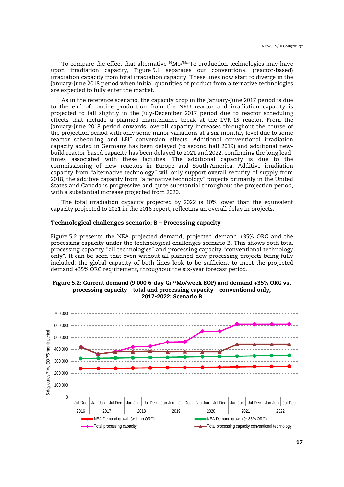To compare the effect that alternative <sup>99</sup>Mo/<sup>99m</sup>Tc production technologies may have upon irradiation capacity, Figure 5.1 separates out conventional (reactor-based) irradiation capacity from total irradiation capacity. These lines now start to diverge in the January-June 2018 period when initial quantities of product from alternative technologies are expected to fully enter the market.

As in the reference scenario, the capacity drop in the January-June 2017 period is due to the end of routine production from the NRU reactor and irradiation capacity is projected to fall slightly in the July-December 2017 period due to reactor scheduling effects that include a planned maintenance break at the LVR-15 reactor. From the January-June 2018 period onwards, overall capacity increases throughout the course of the projection period with only some minor variations at a six-monthly level due to some reactor scheduling and LEU conversion effects. Additional conventional irradiation capacity added in Germany has been delayed (to second half 2019) and additional newbuild reactor-based capacity has been delayed to 2021 and 2022, confirming the long leadtimes associated with these facilities. The additional capacity is due to the commissioning of new reactors in Europe and South America. Additive irradiation capacity from "alternative technology" will only support overall security of supply from 2018, the additive capacity from "alternative technology" projects primarily in the United States and Canada is progressive and quite substantial throughout the projection period, with a substantial increase projected from 2020.

The total irradiation capacity projected by 2022 is 10% lower than the equivalent capacity projected to 2021 in the 2016 report, reflecting an overall delay in projects.

#### Technological challenges scenario: B – Processing capacity

Figure 5.2 presents the NEA projected demand, projected demand +35% ORC and the processing capacity under the technological challenges scenario B. This shows both total processing capacity "all technologies" and processing capacity "conventional technology only". It can be seen that even without all planned new processing projects being fully included, the global capacity of both lines look to be sufficient to meet the projected demand +35% ORC requirement, throughout the six-year forecast period.

<span id="page-16-0"></span>

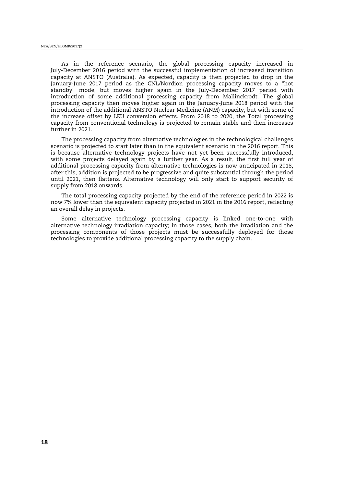As in the reference scenario, the global processing capacity increased in July-December 2016 period with the successful implementation of increased transition capacity at ANSTO (Australia). As expected, capacity is then projected to drop in the January-June 2017 period as the CNL/Nordion processing capacity moves to a "hot standby" mode, but moves higher again in the July-December 2017 period with introduction of some additional processing capacity from Mallinckrodt. The global processing capacity then moves higher again in the January-June 2018 period with the introduction of the additional ANSTO Nuclear Medicine (ANM) capacity, but with some of the increase offset by LEU conversion effects. From 2018 to 2020, the Total processing capacity from conventional technology is projected to remain stable and then increases further in 2021.

The processing capacity from alternative technologies in the technological challenges scenario is projected to start later than in the equivalent scenario in the 2016 report. This is because alternative technology projects have not yet been successfully introduced, with some projects delayed again by a further year. As a result, the first full year of additional processing capacity from alternative technologies is now anticipated in 2018, after this, addition is projected to be progressive and quite substantial through the period until 2021, then flattens. Alternative technology will only start to support security of supply from 2018 onwards.

The total processing capacity projected by the end of the reference period in 2022 is now 7% lower than the equivalent capacity projected in 2021 in the 2016 report, reflecting an overall delay in projects.

Some alternative technology processing capacity is linked one-to-one with alternative technology irradiation capacity; in those cases, both the irradiation and the processing components of those projects must be successfully deployed for those technologies to provide additional processing capacity to the supply chain.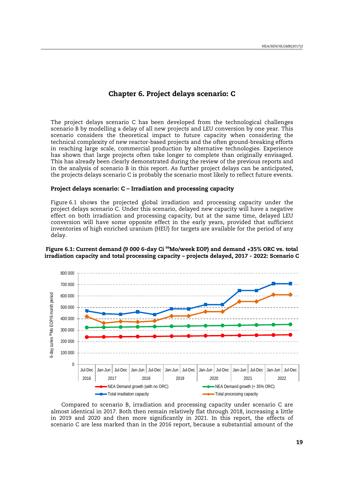## Chapter 6. Project delays scenario: C

<span id="page-18-0"></span>The project delays scenario C has been developed from the technological challenges scenario B by modelling a delay of all new projects and LEU conversion by one year. This scenario considers the theoretical impact to future capacity when considering the technical complexity of new reactor-based projects and the often ground-breaking efforts in reaching large scale, commercial production by alternative technologies. Experience has shown that large projects often take longer to complete than originally envisaged. This has already been clearly demonstrated during the review of the previous reports and in the analysis of scenario B in this report. As further project delays can be anticipated, the projects delays scenario C is probably the scenario most likely to reflect future events.

#### Project delays scenario: C – Irradiation and processing capacity

Figure 6.1 shows the projected global irradiation and processing capacity under the project delays scenario C. Under this scenario, delayed new capacity will have a negative effect on both irradiation and processing capacity, but at the same time, delayed LEU conversion will have some opposite effect in the early years, provided that sufficient inventories of high enriched uranium (HEU) for targets are available for the period of any delay.

800 000 700 000 -day curies <sup>99</sup>Mo EOP/6 month period 6-day curies 99Mo EOP/6 month period 600 000 500 000 400 000 300 000 200 000 100 000  $\Omega$ Jul-Dec Jan-Jun Jul-Dec Jan-Jun Jul-Dec Jan-Jun Jul-Dec Jan-Jun Jul-Dec Jan-Jun Jul-Dec Jan-Jun Jul-Dec 2016 2017 2018 2019 2020 2021 2022 NEA Demand growth (with no ORC) NEA Demand growth (+ 35% ORC) Total irradiation capacity **Total irradiation capacity** Total processing capacity

<span id="page-18-1"></span>Figure 6.1: Current demand (9 000 6-day Ci 99Mo/week EOP) and demand +35% ORC vs. total irradiation capacity and total processing capacity – projects delayed, 2017 - 2022: Scenario C

Compared to scenario B, irradiation and processing capacity under scenario C are almost identical in 2017. Both then remain relatively flat through 2018, increasing a little in 2019 and 2020 and then more significantly in 2021. In this report, the effects of scenario C are less marked than in the 2016 report, because a substantial amount of the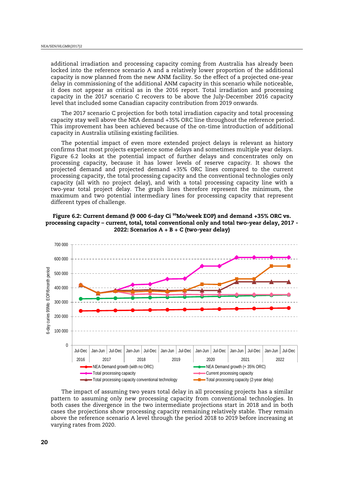additional irradiation and processing capacity coming from Australia has already been locked into the reference scenario A and a relatively lower proportion of the additional capacity is now planned from the new ANM facility. So the effect of a projected one-year delay in commissioning of the additional ANM capacity in this scenario while noticeable, it does not appear as critical as in the 2016 report. Total irradiation and processing capacity in the 2017 scenario C recovers to be above the July-December 2016 capacity level that included some Canadian capacity contribution from 2019 onwards.

The 2017 scenario C projection for both total irradiation capacity and total processing capacity stay well above the NEA demand +35% ORC line throughout the reference period. This improvement has been achieved because of the on-time introduction of additional capacity in Australia utilising existing facilities.

The potential impact of even more extended project delays is relevant as history confirms that most projects experience some delays and sometimes multiple year delays. Figure 6.2 looks at the potential impact of further delays and concentrates only on processing capacity, because it has lower levels of reserve capacity. It shows the projected demand and projected demand +35% ORC lines compared to the current processing capacity, the total processing capacity and the conventional technologies only capacity (all with no project delay), and with a total processing capacity line with a two-year total project delay. The graph lines therefore represent the minimum, the maximum and two potential intermediary lines for processing capacity that represent different types of challenge.

<span id="page-19-0"></span>



The impact of assuming two years total delay in all processing projects has a similar pattern to assuming only new processing capacity from conventional technologies. In both cases the divergence in the two intermediate projections start in 2018 and in both cases the projections show processing capacity remaining relatively stable. They remain above the reference scenario A level through the period 2018 to 2019 before increasing at varying rates from 2020.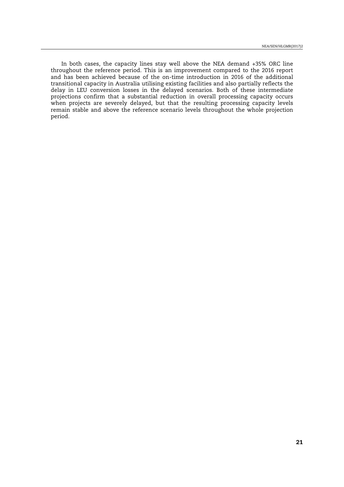In both cases, the capacity lines stay well above the NEA demand +35% ORC line throughout the reference period. This is an improvement compared to the 2016 report and has been achieved because of the on-time introduction in 2016 of the additional transitional capacity in Australia utilising existing facilities and also partially reflects the delay in LEU conversion losses in the delayed scenarios. Both of these intermediate projections confirm that a substantial reduction in overall processing capacity occurs when projects are severely delayed, but that the resulting processing capacity levels remain stable and above the reference scenario levels throughout the whole projection period.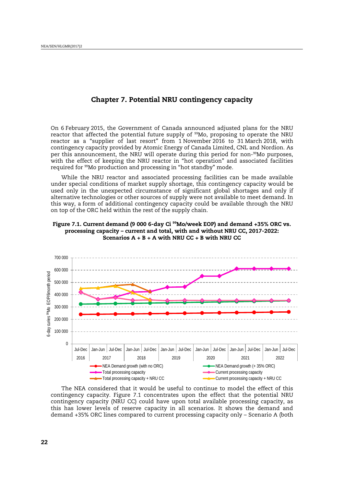#### <span id="page-21-0"></span>Chapter 7. Potential NRU contingency capacity

On 6 February 2015, the Government of Canada announced adjusted plans for the NRU reactor that affected the potential future supply of  $99M$ o, proposing to operate the NRU reactor as a "supplier of last resort" from 1 November 2016 to 31 March 2018, with contingency capacity provided by Atomic Energy of Canada Limited, CNL and Nordion. As per this announcement, the NRU will operate during this period for non-99Mo purposes, with the effect of keeping the NRU reactor in "hot operation" and associated facilities required for 99Mo production and processing in "hot standby" mode.

While the NRU reactor and associated processing facilities can be made available under special conditions of market supply shortage, this contingency capacity would be used only in the unexpected circumstance of significant global shortages and only if alternative technologies or other sources of supply were not available to meet demand. In this way, a form of additional contingency capacity could be available through the NRU on top of the ORC held within the rest of the supply chain.

<span id="page-21-1"></span>



The NEA considered that it would be useful to continue to model the effect of this contingency capacity. Figure 7.1 concentrates upon the effect that the potential NRU contingency capacity (NRU CC) could have upon total available processing capacity, as this has lower levels of reserve capacity in all scenarios. It shows the demand and demand +35% ORC lines compared to current processing capacity only – Scenario A (both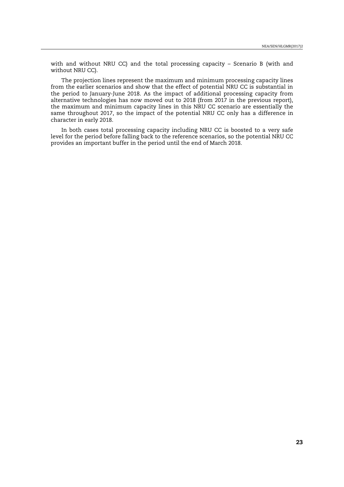with and without NRU CC) and the total processing capacity – Scenario B (with and without NRU CC).

The projection lines represent the maximum and minimum processing capacity lines from the earlier scenarios and show that the effect of potential NRU CC is substantial in the period to January-June 2018. As the impact of additional processing capacity from alternative technologies has now moved out to 2018 (from 2017 in the previous report), the maximum and minimum capacity lines in this NRU CC scenario are essentially the same throughout 2017, so the impact of the potential NRU CC only has a difference in character in early 2018.

In both cases total processing capacity including NRU CC is boosted to a very safe level for the period before falling back to the reference scenarios, so the potential NRU CC provides an important buffer in the period until the end of March 2018.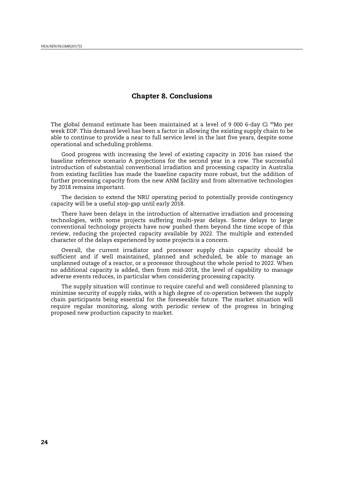#### Chapter 8. Conclusions

<span id="page-23-0"></span>The global demand estimate has been maintained at a level of 9 000 6-day Ci 99Mo per week EOP. This demand level has been a factor in allowing the existing supply chain to be able to continue to provide a near to full service level in the last five years, despite some operational and scheduling problems.

Good progress with increasing the level of existing capacity in 2016 has raised the baseline reference scenario A projections for the second year in a row. The successful introduction of substantial conventional irradiation and processing capacity in Australia from existing facilities has made the baseline capacity more robust, but the addition of further processing capacity from the new ANM facility and from alternative technologies by 2018 remains important.

The decision to extend the NRU operating period to potentially provide contingency capacity will be a useful stop-gap until early 2018.

There have been delays in the introduction of alternative irradiation and processing technologies, with some projects suffering multi-year delays. Some delays to large conventional technology projects have now pushed them beyond the time scope of this review, reducing the projected capacity available by 2022. The multiple and extended character of the delays experienced by some projects is a concern.

Overall, the current irradiator and processor supply chain capacity should be sufficient and if well maintained, planned and scheduled, be able to manage an unplanned outage of a reactor, or a processor throughout the whole period to 2022. When no additional capacity is added, then from mid-2018, the level of capability to manage adverse events reduces, in particular when considering processing capacity.

The supply situation will continue to require careful and well considered planning to minimise security of supply risks, with a high degree of co-operation between the supply chain participants being essential for the foreseeable future. The market situation will require regular monitoring, along with periodic review of the progress in bringing proposed new production capacity to market.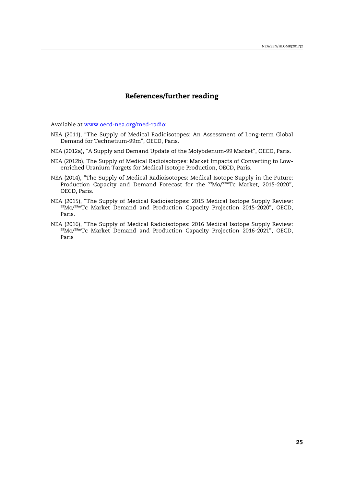#### References/further reading

<span id="page-24-0"></span>Available at [www.oecd-nea.org/med-radio:](http://www.oecd-nea.org/med-radio)

- NEA (2011), "The Supply of Medical Radioisotopes: An Assessment of Long-term Global Demand for Technetium-99m", OECD, Paris.
- NEA (2012a), "A Supply and Demand Update of the Molybdenum-99 Market", OECD, Paris.
- NEA (2012b), The Supply of Medical Radioisotopes: Market Impacts of Converting to Lowenriched Uranium Targets for Medical Isotope Production, OECD, Paris.
- NEA (2014), "The Supply of Medical Radioisotopes: Medical Isotope Supply in the Future: Production Capacity and Demand Forecast for the <sup>99</sup>Mo/<sup>99m</sup>Tc Market, 2015-2020", OECD, Paris.
- NEA (2015), "The Supply of Medical Radioisotopes: 2015 Medical Isotope Supply Review: 99Mo/99mTc Market Demand and Production Capacity Projection 2015-2020", OECD, Paris.
- NEA (2016), "The Supply of Medical Radioisotopes: 2016 Medical Isotope Supply Review: 99Mo/99mTc Market Demand and Production Capacity Projection 2016-2021", OECD, Paris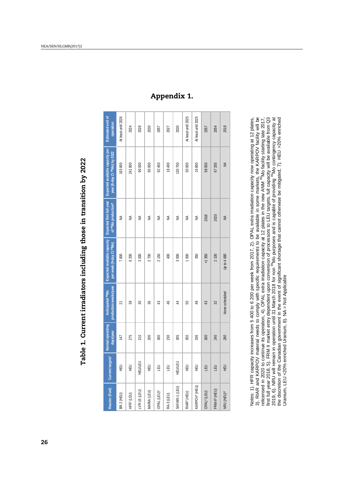<span id="page-25-0"></span>

| <b>Estimated end of</b><br>operation<br>Expected available capacity per<br>year (6-day Ci <sup>99</sup> Mo) by 2022 | At least until 2026<br>163800 | 2024<br>241800         | 2028<br>90000   | 2030<br>95000 | 2057<br>92450           | 2027<br>18400 | 2030<br>130700 | At least until 2025<br>50000 | At least until 2025<br>16800 | 2057<br>58050           | 2054<br>67 200            |                        |
|---------------------------------------------------------------------------------------------------------------------|-------------------------------|------------------------|-----------------|---------------|-------------------------|---------------|----------------|------------------------------|------------------------------|-------------------------|---------------------------|------------------------|
| Expected first full year<br>of <sup>99</sup> Mo production <sup>8</sup>                                             | ≸                             | ≸                      | ≸               | ≸             | ≸                       | ≸             | ≸              | ≸                            | ≸                            | 2018                    | 2020                      | ₹                      |
| Expected available capacity<br>per week (6-day Ci 99Mo)                                                             | 7800                          | 6 200                  | 3000            | 2700          | 2150                    | 400           | 3000           | 1000                         | 350                          | $+1350$                 | 2 100                     | Up to 4 680            |
| production weeks/year<br>Anticipated <sup>99</sup> Mo                                                               | $\overline{z}$                | 39                     | $\overline{30}$ | 36            | 43                      | 46            | 4              | 50                           | \$                           | 43                      | 32                        | None scheduled         |
| Normal operating<br>days/year                                                                                       | 147                           | 275                    | 210             | 200           | 300                     | 230           | 305            | 350                          | 336                          | 300                     | 240                       | 280                    |
| Current targets <sup>7</sup>                                                                                        | 己                             | 己                      | HEUVLEL         | <b>コミ</b>     | Ξ                       | Ξ             | HEUVLEL        | <b>コミ</b>                    | 己王                           | 已                       | EU                        | 己                      |
| Reactor (Fuel)                                                                                                      | BR-2 (HEU)                    | HFR <sup>I</sup> (LEU) | LVR-15 (LEU)    | MARIA (LEU)   | OPAL (LEU) <sup>2</sup> | RA-3 (LEU)    | SAFARI-1 (LEU) | RIAR <sup>3</sup> (HEU)      | KARPOV <sup>3</sup> (HEU)    | OPAL <sup>4</sup> (LEU) | FRM-II <sup>5</sup> (HEU) | NRU (HEU) <sup>6</sup> |

# Appendix 1.

Notes: 1). HFR capacity increases from 5 400 to 6 200 per week from 2017, 2). OPAL extra irradiation capacity now operating at 12 plates,<br>3). RIAR and KARPOV material needs to comply with specific requirements to be availa Notes: 1). HFR capacity increases from 5 400 to 6 200 per week from 2017, 2). OPAL extra irradiation capacity now operating at 12 plates, 3). RIAR and KARPOV material needs to comply with specific requirements to be available in some markets, the KARPOV facility will be relicensed in 2020 to continue its operation, 4). OPAL extra irradiation capacity at 12 plates in the new ANM 99Mo facility starting late 2017, first full year 2018, 5). FRM II market entry dependent upon conversion of processors to LEU targets, full capacity will be available from Q3 2019, 6). NRU will remain in operation until 31 March 2018 for non 99Mo purposes and is capable of providing 99Mo contingency capacity at the discretion of the Canadian government in the event of significant shortage that cannot otherwise be mitigated, 7). HEU >20% enriched Uranium, LEU <20% enriched Uranium, 8). NA = Not Applicable

# Table 1. Current irradiators including those in transition by 2022 Table 1. Current irradiators including those in transition by 2022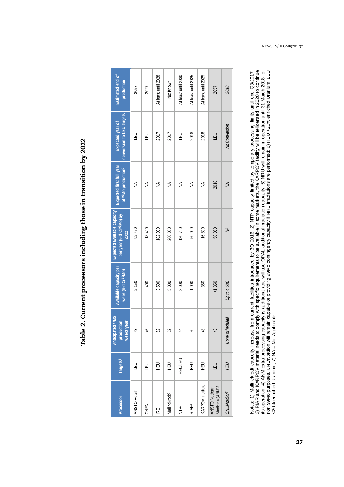Table 2. Current processors including those in transition by 2022 Table 2. Current processors including those in transition by 2022

| Expected available capacity<br>Anticipated <sup>99</sup> Mo |                      |                          |                                              |                                   |                                                             |                                               |                                |
|-------------------------------------------------------------|----------------------|--------------------------|----------------------------------------------|-----------------------------------|-------------------------------------------------------------|-----------------------------------------------|--------------------------------|
| Processor                                                   | Targets <sup>6</sup> | production<br>weeks/year | Available capacity per<br>week (6-d Ci 99Mo) | per year (6-d Ci 99Mo) by<br>2022 | Expected first full year<br>of 99Mo production <sup>7</sup> | conversion to LEU targets<br>Expected year of | Estimated end of<br>production |
| ANSTO Health                                                | Ξ                    | $\ddot{4}$               | 2150                                         | 92450                             | ≨                                                           | ΞŪ                                            | 2057                           |
|                                                             | <b>UEU</b>           | 46                       | 400                                          | 18400                             | ≨                                                           | Ξ                                             | 2027                           |
|                                                             | 1<br>보               | 52                       | 3500                                         | 182000                            | ≨                                                           | 2017                                          | At least until 2028            |
| Vlallinckrodt <sup>1</sup>                                  | .<br>보               | 52                       | 5000                                         | 260000                            | ≨                                                           | 2017                                          | Not Known                      |
|                                                             | HEUNEU               | $^{44}$                  | 3000                                         | 130700                            | ≨                                                           | Ξ                                             | At least until 2030            |
|                                                             | <b>コモ</b>            | 50                       | 1000                                         | 50000                             | ≨                                                           | 2018                                          | At least until 2025            |
| KARPOV Institute <sup>3</sup>                               | 긒<br>보               | $\frac{8}{4}$            | 350                                          | 16800                             | ≸                                                           | 2018                                          | At least until 2025            |
| <b><i>Medicine</i></b> (ANM) <sup>4</sup><br>ANSTO Nuclear  | LEU                  | 43                       | $+1350$                                      | 58050                             | 2018                                                        | LEU                                           | 2057                           |
| CNL/Nordion <sup>5</sup>                                    | こ<br>出               | None scheduled           | Up to 4 680                                  | $\leq$                            | ₹                                                           | No Conversion                                 | 2018                           |
|                                                             |                      |                          |                                              |                                   |                                                             |                                               |                                |

Notes: 1) Mallinckrodt capacity increase from current facilities introduced by 3Q 2016; 2) NTP capacity limited by temporary processing limits until end Q3/2017;<br>3) RIAR and KARPOV material needs to comply with specific re 3) RIAR and KARPOV material needs to comply with specific requirements to be available in some markets, the KARPOV facility will be relicensed in 2020 to continue its operation; 4) ANM extra processing capacity is additional and will use OPAL additional irradiation capacity; 5) NRU will remain in operation until 31 March 2018 for non 99Mo purposes, CNL/Nordion will remain capable of providing 99Mo contingency capacity if NRU irradiations are performed; 6) HEU >20% enriched Uranium, LEU Notes: 1) Mallinckrodt capacity increase from current facilities introduced by 3Q 2016; 2) NTP capacity limited by temporary processing limits until end Q3/2017; <20% enriched Uranium; 7) NA = Not Applicable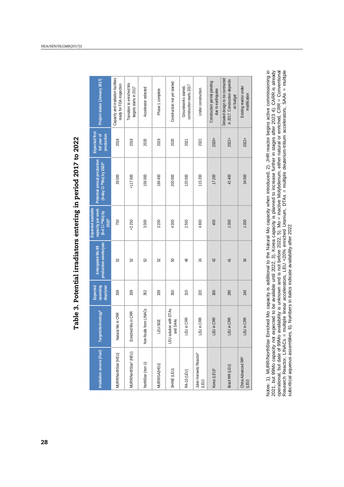| Capacity and irradiation facilities<br>Detailed design to be contracted<br>Project status (January 2017)<br>in 2017. Construction depends<br>Construction permit pending<br>Construction not yet started<br>Transition to enriched Mo<br>ready for FDA inspection<br>construction starts 2017<br>Existing reactor under<br>targets starts in 2017<br>Groundworks started,<br>Accelerator selected<br>Under construction<br>due to earthquake<br>Phase 1 complete<br>modification<br>on budget<br>full year of<br>production<br>2022+<br>2018<br>2018<br>2019<br>2020+<br>2022+<br>2020<br>2020<br>2022<br>2021<br>Potential annual production<br>(6-day Ci 99Mo) by 2022 <sup>6</sup><br>39000<br>$+117000$<br>34 000<br>156000<br>200 000<br>120000<br>115 200<br>17 200<br>41 400<br>166 400<br>capacity per week<br>Vq (ON <sub>66</sub> !:) P-9)<br>20226<br>750<br>$+2250$<br>3000<br>3200<br>1000<br>1000<br>4000<br>2500<br>4800<br>400<br>production weeks/year<br>Anticipated Mo-99<br>52<br>52<br>52<br>52<br>50<br>\$<br>$\overline{24}$<br>43<br>$\approx$<br>41<br>operating<br>days/year<br>339<br>339<br>352<br>339<br>315<br>220<br>300<br>290<br>240<br>350<br>Non-fissile from LINACs<br>LEU solution with DTAs<br>Targets/technology <sup>5</sup><br>Enriched Mo in CRR<br>Natural Mo in CRR<br>LEU in CRR<br>LEU in CRR<br>LEU in CRR<br>LEU in CRR<br>LEU in CRR<br>and SAAs<br>LEU-SGE<br>Irradiation source (Fuel)<br>MURR/NorthStar <sup>1</sup> (HEU)<br>Jules Horowitz Reactor <sup>2</sup><br>MURR/NorthStar (HEU)<br>China Advanced RR <sup>4</sup><br>NorthStar (non U)<br>MURR/GA(HEU)<br>Brazil MR (LEU) |  |          | Expected available |                       |  |
|-----------------------------------------------------------------------------------------------------------------------------------------------------------------------------------------------------------------------------------------------------------------------------------------------------------------------------------------------------------------------------------------------------------------------------------------------------------------------------------------------------------------------------------------------------------------------------------------------------------------------------------------------------------------------------------------------------------------------------------------------------------------------------------------------------------------------------------------------------------------------------------------------------------------------------------------------------------------------------------------------------------------------------------------------------------------------------------------------------------------------------------------------------------------------------------------------------------------------------------------------------------------------------------------------------------------------------------------------------------------------------------------------------------------------------------------------------------------------------------------------------------------------------------------------------------------------------------------------------------------------------------------|--|----------|--------------------|-----------------------|--|
|                                                                                                                                                                                                                                                                                                                                                                                                                                                                                                                                                                                                                                                                                                                                                                                                                                                                                                                                                                                                                                                                                                                                                                                                                                                                                                                                                                                                                                                                                                                                                                                                                                         |  | Expected |                    | <b>Expected first</b> |  |
|                                                                                                                                                                                                                                                                                                                                                                                                                                                                                                                                                                                                                                                                                                                                                                                                                                                                                                                                                                                                                                                                                                                                                                                                                                                                                                                                                                                                                                                                                                                                                                                                                                         |  |          |                    |                       |  |
|                                                                                                                                                                                                                                                                                                                                                                                                                                                                                                                                                                                                                                                                                                                                                                                                                                                                                                                                                                                                                                                                                                                                                                                                                                                                                                                                                                                                                                                                                                                                                                                                                                         |  |          |                    |                       |  |
|                                                                                                                                                                                                                                                                                                                                                                                                                                                                                                                                                                                                                                                                                                                                                                                                                                                                                                                                                                                                                                                                                                                                                                                                                                                                                                                                                                                                                                                                                                                                                                                                                                         |  |          |                    |                       |  |
|                                                                                                                                                                                                                                                                                                                                                                                                                                                                                                                                                                                                                                                                                                                                                                                                                                                                                                                                                                                                                                                                                                                                                                                                                                                                                                                                                                                                                                                                                                                                                                                                                                         |  |          |                    |                       |  |
|                                                                                                                                                                                                                                                                                                                                                                                                                                                                                                                                                                                                                                                                                                                                                                                                                                                                                                                                                                                                                                                                                                                                                                                                                                                                                                                                                                                                                                                                                                                                                                                                                                         |  |          |                    |                       |  |
|                                                                                                                                                                                                                                                                                                                                                                                                                                                                                                                                                                                                                                                                                                                                                                                                                                                                                                                                                                                                                                                                                                                                                                                                                                                                                                                                                                                                                                                                                                                                                                                                                                         |  |          |                    |                       |  |
|                                                                                                                                                                                                                                                                                                                                                                                                                                                                                                                                                                                                                                                                                                                                                                                                                                                                                                                                                                                                                                                                                                                                                                                                                                                                                                                                                                                                                                                                                                                                                                                                                                         |  |          |                    |                       |  |
|                                                                                                                                                                                                                                                                                                                                                                                                                                                                                                                                                                                                                                                                                                                                                                                                                                                                                                                                                                                                                                                                                                                                                                                                                                                                                                                                                                                                                                                                                                                                                                                                                                         |  |          |                    |                       |  |
|                                                                                                                                                                                                                                                                                                                                                                                                                                                                                                                                                                                                                                                                                                                                                                                                                                                                                                                                                                                                                                                                                                                                                                                                                                                                                                                                                                                                                                                                                                                                                                                                                                         |  |          |                    |                       |  |
|                                                                                                                                                                                                                                                                                                                                                                                                                                                                                                                                                                                                                                                                                                                                                                                                                                                                                                                                                                                                                                                                                                                                                                                                                                                                                                                                                                                                                                                                                                                                                                                                                                         |  |          |                    |                       |  |

Table 3. Potential irradiators entering in period 2017 to 2022 Table 3. Potential irradiators entering in period 2017 to 2022 Notes: 1). MURR/NorthStar Enriched Mo capacity is additional to the Natural Mo capacity when introduced, 2). JHR reactor begins active commissioning in<br>2021, but 99Mo capacity not expected to be available until 2022, 3). K 2021, but 99Mo capacity not expected to be available until 2022, 3). Korea capacity is planned to increase further in stages after 2023 4). CARR is already operational, but date of 99Mo availability is unknown and is not before 2022, 5). Mo = inactive Molybdenum, either natural or enriched, CRR = Conventional Research Reactor, LINACs = multiple linear accelerators, LEU <20% enriched Uranium, DTAs = multiple deuterium-tritium accelerators, SAAs = multiple Notes: 1). MURR/NorthStar Enriched Mo capacity is additional to the Natural Mo capacity when introduced, 2). JHR reactor begins active commissioning in subcritical aqueous assemblies, 6). Numbers in italics indicate availability after 2022